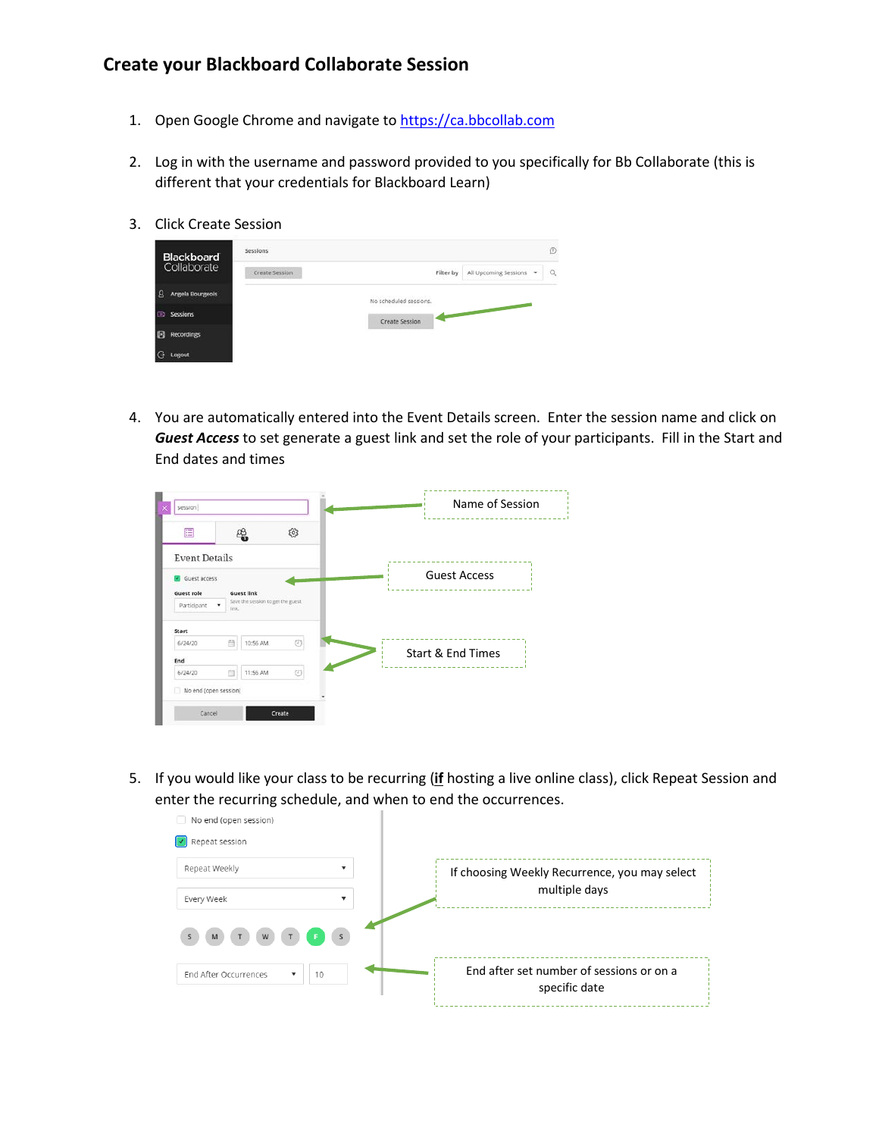## **Create your Blackboard Collaborate Session**

- 1. Open Google Chrome and navigate to [https://ca.bbcollab.com](https://ca.bbcollab.com/)
- 2. Log in with the username and password provided to you specifically for Bb Collaborate (this is different that your credentials for Blackboard Learn)
- 3. Click Create Session

| <b>Blackboard</b>      | Sessions       |                        |           | C                                                   |   |
|------------------------|----------------|------------------------|-----------|-----------------------------------------------------|---|
| Collaborate            | Create Session |                        | Filter by | All Upcoming Sessions -                             | ä |
| Angela Bourgeois<br>-8 |                | No scheduled sessions. |           |                                                     |   |
| Sessions<br>$\Box$     |                | Create Session         |           | <b>Contract Contract Contract Contract Contract</b> |   |
| 困<br><b>Recordings</b> |                |                        |           |                                                     |   |
| G<br>Logout            |                |                        |           |                                                     |   |

4. You are automatically entered into the Event Details screen. Enter the session name and click on *Guest Access* to set generate a guest link and set the role of your participants. Fill in the Start and End dates and times

| E                     | ቈ                                                | ಣ              |                     |
|-----------------------|--------------------------------------------------|----------------|---------------------|
| <b>Event Details</b>  |                                                  |                |                     |
| Guest access          |                                                  |                | <b>Guest Access</b> |
| Guest role            | <b>Guest link</b>                                |                |                     |
| Participant           | Save the session to get the guest.<br>٠<br>link. |                |                     |
| Start                 |                                                  |                |                     |
| 6/24/20               | 曲<br>10:56 AM                                    | O              |                     |
| End                   |                                                  |                | Start & End Times   |
| 6/24/20               | 曲<br>11:56 AM                                    | $\circledcirc$ |                     |
| No end (open session) |                                                  |                |                     |

5. If you would like your class to be recurring (**if** hosting a live online class), click Repeat Session and enter the recurring schedule, and when to end the occurrences.